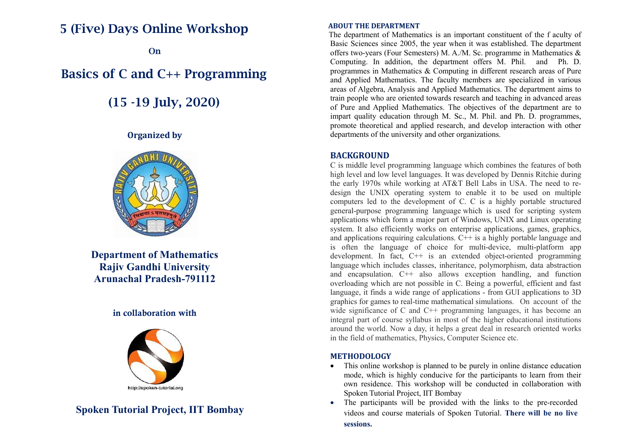# **5 (Five) Days Online Workshop**

**On**

# **Basics of C and C++ Programming**

 **(15 -19 July, 2020)**

**Organized by**



**Department of Mathematics Rajiv Gandhi University Arunachal Pradesh-791112**

### **in collaboration with**



## **Spoken Tutorial Project, IIT Bombay**

#### **ABOUT THE DEPARTMENT**

 The department of Mathematics is an important constituent of the f aculty of Basic Sciences since 2005, the year when it was established. The department offers two-years (Four Semesters) M. A./M. Sc. programme in Mathematics & Computing. In addition, the department offers M. Phil. and Ph. D. programmes in Mathematics & Computing in different research areas of Pure and Applied Mathematics. The faculty members are specialized in various areas of Algebra, Analysis and Applied Mathematics. The department aims to train people who are oriented towards research and teaching in advanced areas of Pure and Applied Mathematics. The objectives of the department are to impart quality education through M. Sc., M. Phil. and Ph. D. programmes, promote theoretical and applied research, and develop interaction with other departments of the university and other organizations.

#### **BACKGROUND**

C is middle level programming language which combines the features of both high level and low level languages. It was developed by Dennis Ritchie during the early 1970s while working at AT&T Bell Labs in USA. The need to redesign the UNIX operating system to enable it to be used on multiple computers led to the development of C. C is a highly portable structured general-purpose programming language which is used for scripting system applications which form a major part of Windows, UNIX and Linux operating system. It also efficiently works on enterprise applications, games, graphics, and applications requiring calculations. C++ is a highly portabl*e* language and is often the language of choice for multi-device, multi-platform app development. In fact, C++ is an extended object-oriented programming language which includes classes, inheritance, polymorphism, data abstraction and encapsulation. C++ also allows exception handling, and function overloading which are not possible in C. Being a powerful, efficient and fast language, it finds a wide range of applications - from GUI applications to 3D graphics for games to real-time mathematical simulations. On account of the wide significance of C and C<sup>++</sup> programming languages, it has become an integral part of course syllabus in most of the higher educational institutions around the world. Now a day, it helps a great deal in research oriented works in the field of mathematics, Physics, Computer Science etc.

#### **METHODOLOGY**

- This online workshop is planned to be purely in online distance education mode, which is highly conducive for the participants to learn from their own residence. This workshop will be conducted in collaboration with Spoken Tutorial Project, IIT Bombay
- The participants will be provided with the links to the pre-recorded videos and course materials of Spoken Tutorial. **There will be no live sessions.**